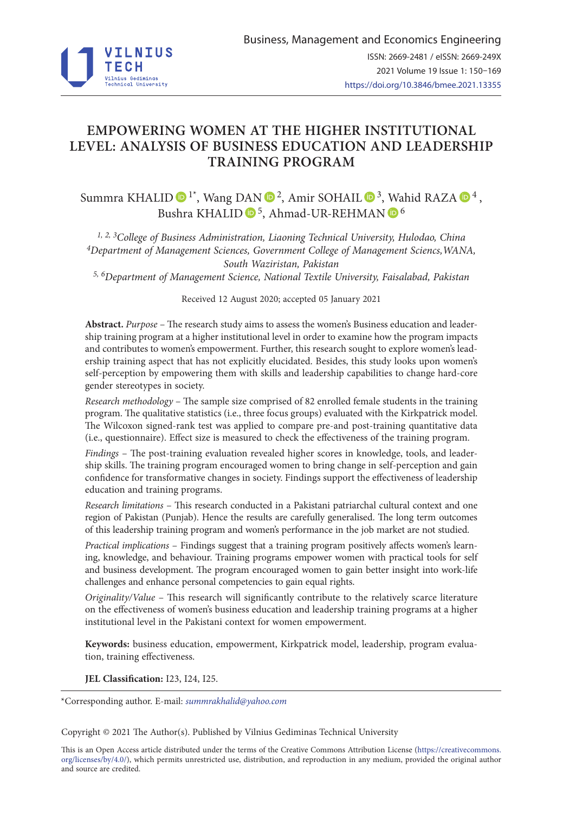

# **EMPOWERING WOMEN AT THE HIGHER INSTITUTIONAL LEVEL: ANALYSIS OF BUSINESS EDUCATION AND LEADERSHIP TRAINING PROGRAM**

Summra KHALID  $\bigcirc^{1*}$ , Wang D[AN](https://orcid.org/0000-0002-4585-4128)  $\bigcirc^{2}$ , Amir SOHAIL  $\bigcirc^{3}$ , [Wa](https://orcid.org/0000-0001-6084-633X)hid RAZA  $\bigcirc^{4}$ , Bushra KHALID <sup>6</sup>, Ahmad-UR-REHMAN <sup>6</sup>

*1, 2, 3College of Business Administration, Liaoning Technical University, Hulodao, China 4Department of Management Sciences, Government College of Management Sciencs,WANA, South Waziristan, Pakistan*

*5, 6Department of Management Science, National Textile University, Faisalabad, Pakistan*

Received 12 August 2020; accepted 05 January 2021

**Abstract.** *Purpose* – The research study aims to assess the women's Business education and leadership training program at a higher institutional level in order to examine how the program impacts and contributes to women's empowerment. Further, this research sought to explore women's leadership training aspect that has not explicitly elucidated. Besides, this study looks upon women's self-perception by empowering them with skills and leadership capabilities to change hard-core gender stereotypes in society.

*Research methodology* – The sample size comprised of 82 enrolled female students in the training program. The qualitative statistics (i.e., three focus groups) evaluated with the Kirkpatrick model. The Wilcoxon signed-rank test was applied to compare pre-and post-training quantitative data (i.e., questionnaire). Effect size is measured to check the effectiveness of the training program.

*Findings* – The post-training evaluation revealed higher scores in knowledge, tools, and leadership skills. The training program encouraged women to bring change in self-perception and gain confidence for transformative changes in society. Findings support the effectiveness of leadership education and training programs.

*Research limitations* – This research conducted in a Pakistani patriarchal cultural context and one region of Pakistan (Punjab). Hence the results are carefully generalised. The long term outcomes of this leadership training program and women's performance in the job market are not studied.

*Practical implications* – Findings suggest that a training program positively affects women's learning, knowledge, and behaviour. Training programs empower women with practical tools for self and business development. The program encouraged women to gain better insight into work-life challenges and enhance personal competencies to gain equal rights.

*Originality/Value* – This research will significantly contribute to the relatively scarce literature on the effectiveness of women's business education and leadership training programs at a higher institutional level in the Pakistani context for women empowerment.

**Keywords:** business education, empowerment, Kirkpatrick model, leadership, program evaluation, training effectiveness.

**JEL Classification:** I23, I24, I25.

Copyright © 2021 The Author(s). Published by Vilnius Gediminas Technical University

This is an Open Access article distributed under the terms of the Creative Commons Attribution License (https://creativecommons. org/licenses/by/4.0/), which permits unrestricted use, distribution, and reproduction in any medium, provided the original author and source are credited.

<sup>\*</sup>Corresponding author. E-mail: *summrakhalid@yahoo.com*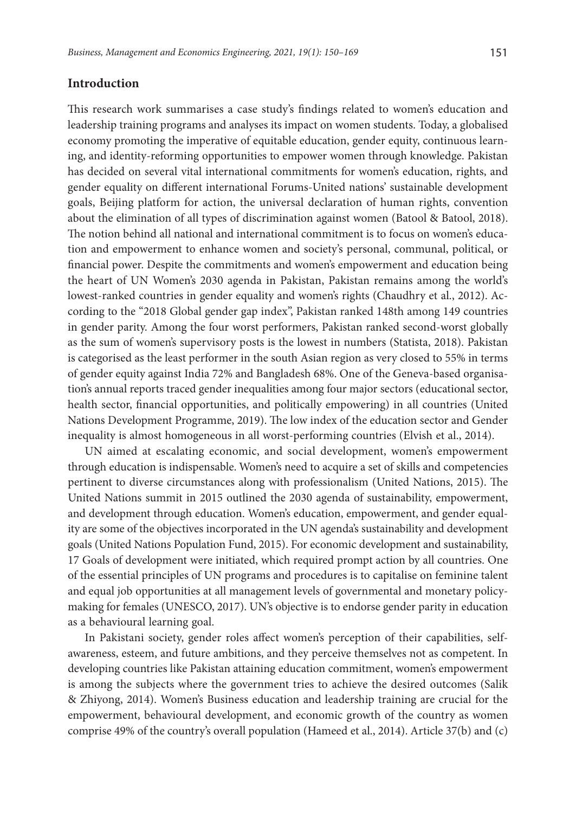# **Introduction**

This research work summarises a case study's findings related to women's education and leadership training programs and analyses its impact on women students. Today, a globalised economy promoting the imperative of equitable education, gender equity, continuous learning, and identity-reforming opportunities to empower women through knowledge. Pakistan has decided on several vital international commitments for women's education, rights, and gender equality on different international Forums-United nations' sustainable development goals, Beijing platform for action, the universal declaration of human rights, convention about the elimination of all types of discrimination against women (Batool & Batool, 2018). The notion behind all national and international commitment is to focus on women's education and empowerment to enhance women and society's personal, communal, political, or financial power. Despite the commitments and women's empowerment and education being the heart of UN Women's 2030 agenda in Pakistan, Pakistan remains among the world's lowest-ranked countries in gender equality and women's rights (Chaudhry et al., 2012). According to the "2018 Global gender gap index", Pakistan ranked 148th among 149 countries in gender parity. Among the four worst performers, Pakistan ranked second-worst globally as the sum of women's supervisory posts is the lowest in numbers (Statista, 2018). Pakistan is categorised as the least performer in the south Asian region as very closed to 55% in terms of gender equity against India 72% and Bangladesh 68%. One of the Geneva-based organisation's annual reports traced gender inequalities among four major sectors (educational sector, health sector, financial opportunities, and politically empowering) in all countries (United Nations Development Programme, 2019). The low index of the education sector and Gender inequality is almost homogeneous in all worst-performing countries (Elvish et al., 2014).

UN aimed at escalating economic, and social development, women's empowerment through education is indispensable. Women's need to acquire a set of skills and competencies pertinent to diverse circumstances along with professionalism (United Nations, 2015). The United Nations summit in 2015 outlined the 2030 agenda of sustainability, empowerment, and development through education. Women's education, empowerment, and gender equality are some of the objectives incorporated in the UN agenda's sustainability and development goals (United Nations Population Fund, 2015). For economic development and sustainability, 17 Goals of development were initiated, which required prompt action by all countries. One of the essential principles of UN programs and procedures is to capitalise on feminine talent and equal job opportunities at all management levels of governmental and monetary policymaking for females (UNESCO, 2017). UN's objective is to endorse gender parity in education as a behavioural learning goal.

In Pakistani society, gender roles affect women's perception of their capabilities, selfawareness, esteem, and future ambitions, and they perceive themselves not as competent. In developing countries like Pakistan attaining education commitment, women's empowerment is among the subjects where the government tries to achieve the desired outcomes (Salik & Zhiyong, 2014). Women's Business education and leadership training are crucial for the empowerment, behavioural development, and economic growth of the country as women comprise 49% of the country's overall population (Hameed et al., 2014). Article 37(b) and (c)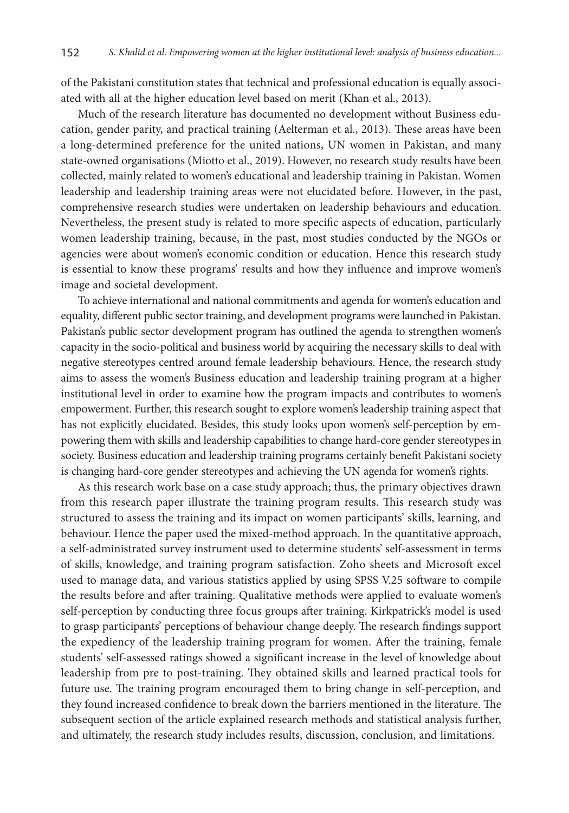of the Pakistani constitution states that technical and professional education is equally associated with all at the higher education level based on merit (Khan et al., 2013).

Much of the research literature has documented no development without Business education, gender parity, and practical training (Aelterman et al., 2013). These areas have been a long-determined preference for the united nations, UN women in Pakistan, and many state-owned organisations (Miotto et al., 2019). However, no research study results have been collected, mainly related to women's educational and leadership training in Pakistan. Women leadership and leadership training areas were not elucidated before. However, in the past, comprehensive research studies were undertaken on leadership behaviours and education. Nevertheless, the present study is related to more specific aspects of education, particularly women leadership training, because, in the past, most studies conducted by the NGOs or agencies were about women's economic condition or education. Hence this research study is essential to know these programs' results and how they influence and improve women's image and societal development.

To achieve international and national commitments and agenda for women's education and equality, different public sector training, and development programs were launched in Pakistan. Pakistan's public sector development program has outlined the agenda to strengthen women's capacity in the socio-political and business world by acquiring the necessary skills to deal with negative stereotypes centred around female leadership behaviours. Hence, the research study aims to assess the women's Business education and leadership training program at a higher institutional level in order to examine how the program impacts and contributes to women's empowerment. Further, this research sought to explore women's leadership training aspect that has not explicitly elucidated. Besides, this study looks upon women's self-perception by empowering them with skills and leadership capabilities to change hard-core gender stereotypes in society. Business education and leadership training programs certainly benefit Pakistani society is changing hard-core gender stereotypes and achieving the UN agenda for women's rights.

As this research work base on a case study approach; thus, the primary objectives drawn from this research paper illustrate the training program results. This research study was structured to assess the training and its impact on women participants' skills, learning, and behaviour. Hence the paper used the mixed-method approach. In the quantitative approach, a self-administrated survey instrument used to determine students' self-assessment in terms of skills, knowledge, and training program satisfaction. Zoho sheets and Microsoft excel used to manage data, and various statistics applied by using SPSS V.25 software to compile the results before and after training. Qualitative methods were applied to evaluate women's self-perception by conducting three focus groups after training. Kirkpatrick's model is used to grasp participants' perceptions of behaviour change deeply. The research findings support the expediency of the leadership training program for women. After the training, female students' self-assessed ratings showed a significant increase in the level of knowledge about leadership from pre to post-training. They obtained skills and learned practical tools for future use. The training program encouraged them to bring change in self-perception, and they found increased confidence to break down the barriers mentioned in the literature. The subsequent section of the article explained research methods and statistical analysis further, and ultimately, the research study includes results, discussion, conclusion, and limitations.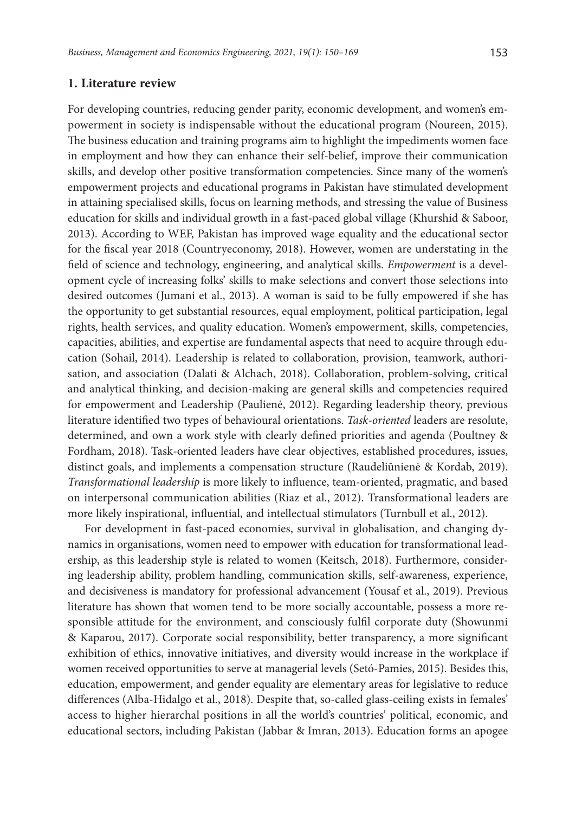#### **1. Literature review**

For developing countries, reducing gender parity, economic development, and women's empowerment in society is indispensable without the educational program (Noureen, 2015). The business education and training programs aim to highlight the impediments women face in employment and how they can enhance their self-belief, improve their communication skills, and develop other positive transformation competencies. Since many of the women's empowerment projects and educational programs in Pakistan have stimulated development in attaining specialised skills, focus on learning methods, and stressing the value of Business education for skills and individual growth in a fast-paced global village (Khurshid & Saboor, 2013). According to WEF, Pakistan has improved wage equality and the educational sector for the fiscal year 2018 (Countryeconomy, 2018). However, women are understating in the field of science and technology, engineering, and analytical skills. *Empowerment* is a development cycle of increasing folks' skills to make selections and convert those selections into desired outcomes (Jumani et al., 2013). A woman is said to be fully empowered if she has the opportunity to get substantial resources, equal employment, political participation, legal rights, health services, and quality education. Women's empowerment, skills, competencies, capacities, abilities, and expertise are fundamental aspects that need to acquire through education (Sohail, 2014). Leadership is related to collaboration, provision, teamwork, authorisation, and association (Dalati & Alchach, 2018). Collaboration, problem-solving, critical and analytical thinking, and decision-making are general skills and competencies required for empowerment and Leadership (Paulienė, 2012). Regarding leadership theory, previous literature identified two types of behavioural orientations. *Task-oriented* leaders are resolute, determined, and own a work style with clearly defined priorities and agenda (Poultney & Fordham, 2018). Task-oriented leaders have clear objectives, established procedures, issues, distinct goals, and implements a compensation structure (Raudeliūnienė & Kordab, 2019). *Transformational leadership* is more likely to influence, team-oriented, pragmatic, and based on interpersonal communication abilities (Riaz et al., 2012). Transformational leaders are more likely inspirational, influential, and intellectual stimulators (Turnbull et al., 2012).

For development in fast-paced economies, survival in globalisation, and changing dynamics in organisations, women need to empower with education for transformational leadership, as this leadership style is related to women (Keitsch, 2018). Furthermore, considering leadership ability, problem handling, communication skills, self-awareness, experience, and decisiveness is mandatory for professional advancement (Yousaf et al., 2019). Previous literature has shown that women tend to be more socially accountable, possess a more responsible attitude for the environment, and consciously fulfil corporate duty (Showunmi & Kaparou, 2017). Corporate social responsibility, better transparency, a more significant exhibition of ethics, innovative initiatives, and diversity would increase in the workplace if women received opportunities to serve at managerial levels (Setó-Pamies, 2015). Besides this, education, empowerment, and gender equality are elementary areas for legislative to reduce differences (Alba-Hidalgo et al., 2018). Despite that, so-called glass-ceiling exists in females' access to higher hierarchal positions in all the world's countries' political, economic, and educational sectors, including Pakistan (Jabbar & Imran, 2013). Education forms an apogee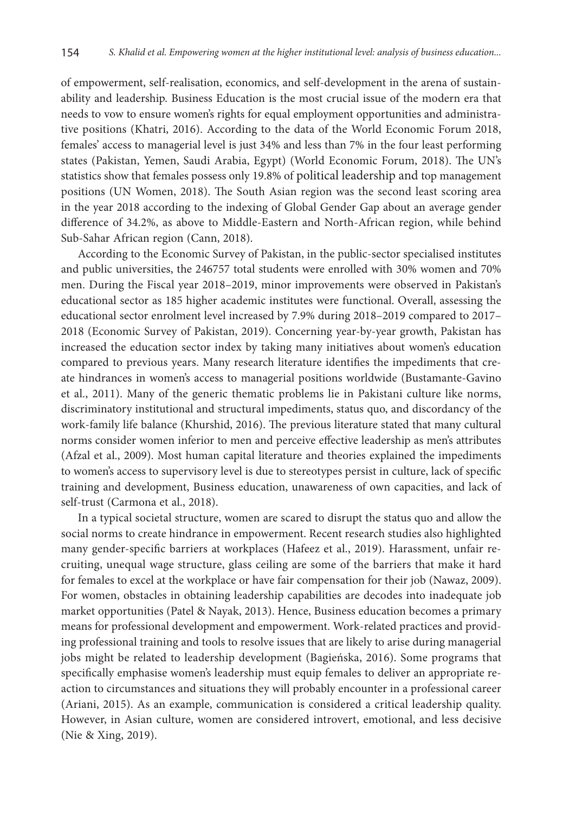of empowerment, self-realisation, economics, and self-development in the arena of sustainability and leadership. Business Education is the most crucial issue of the modern era that needs to vow to ensure women's rights for equal employment opportunities and administrative positions (Khatri, 2016). According to the data of the World Economic Forum 2018, females' access to managerial level is just 34% and less than 7% in the four least performing states (Pakistan, Yemen, Saudi Arabia, Egypt) (World Economic Forum, 2018). The UN's statistics show that females possess only 19.8% of political leadership and top management positions (UN Women, 2018). The South Asian region was the second least scoring area in the year 2018 according to the indexing of Global Gender Gap about an average gender difference of 34.2%, as above to Middle-Eastern and North-African region, while behind Sub-Sahar African region (Cann, 2018).

According to the Economic Survey of Pakistan, in the public-sector specialised institutes and public universities, the 246757 total students were enrolled with 30% women and 70% men. During the Fiscal year 2018–2019, minor improvements were observed in Pakistan's educational sector as 185 higher academic institutes were functional. Overall, assessing the educational sector enrolment level increased by 7.9% during 2018–2019 compared to 2017– 2018 (Economic Survey of Pakistan, 2019). Concerning year-by-year growth, Pakistan has increased the education sector index by taking many initiatives about women's education compared to previous years. Many research literature identifies the impediments that create hindrances in women's access to managerial positions worldwide (Bustamante-Gavino et al., 2011). Many of the generic thematic problems lie in Pakistani culture like norms, discriminatory institutional and structural impediments, status quo, and discordancy of the work-family life balance (Khurshid, 2016). The previous literature stated that many cultural norms consider women inferior to men and perceive effective leadership as men's attributes (Afzal et al., 2009). Most human capital literature and theories explained the impediments to women's access to supervisory level is due to stereotypes persist in culture, lack of specific training and development, Business education, unawareness of own capacities, and lack of self-trust (Carmona et al., 2018).

In a typical societal structure, women are scared to disrupt the status quo and allow the social norms to create hindrance in empowerment. Recent research studies also highlighted many gender-specific barriers at workplaces (Hafeez et al., 2019). Harassment, unfair recruiting, unequal wage structure, glass ceiling are some of the barriers that make it hard for females to excel at the workplace or have fair compensation for their job (Nawaz, 2009). For women, obstacles in obtaining leadership capabilities are decodes into inadequate job market opportunities (Patel & Nayak, 2013). Hence, Business education becomes a primary means for professional development and empowerment. Work-related practices and providing professional training and tools to resolve issues that are likely to arise during managerial jobs might be related to leadership development (Bagieńska, 2016). Some programs that specifically emphasise women's leadership must equip females to deliver an appropriate reaction to circumstances and situations they will probably encounter in a professional career (Ariani, 2015). As an example, communication is considered a critical leadership quality. However, in Asian culture, women are considered introvert, emotional, and less decisive (Nie & Xing, 2019).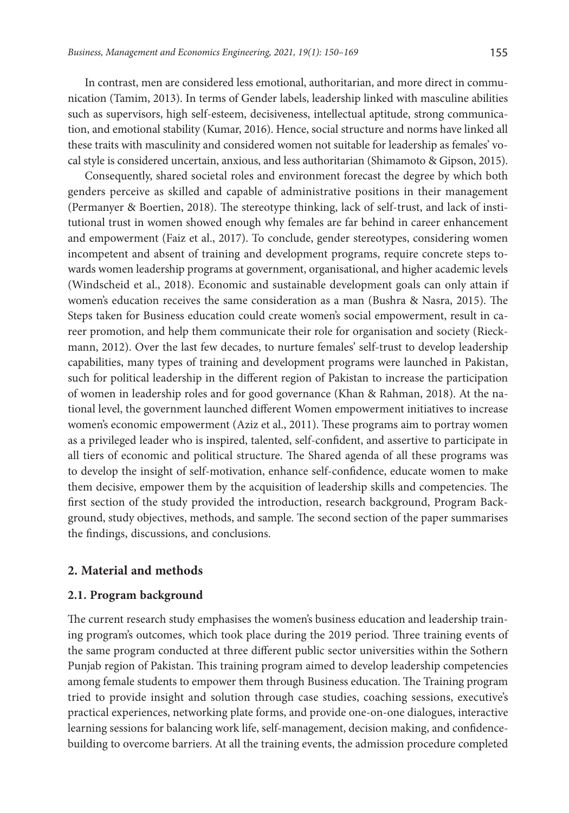In contrast, men are considered less emotional, authoritarian, and more direct in communication (Tamim, 2013). In terms of Gender labels, leadership linked with masculine abilities such as supervisors, high self-esteem, decisiveness, intellectual aptitude, strong communication, and emotional stability (Kumar, 2016). Hence, social structure and norms have linked all these traits with masculinity and considered women not suitable for leadership as females' vocal style is considered uncertain, anxious, and less authoritarian (Shimamoto & Gipson, 2015).

Consequently, shared societal roles and environment forecast the degree by which both genders perceive as skilled and capable of administrative positions in their management (Permanyer & Boertien, 2018). The stereotype thinking, lack of self-trust, and lack of institutional trust in women showed enough why females are far behind in career enhancement and empowerment (Faiz et al., 2017). To conclude, gender stereotypes, considering women incompetent and absent of training and development programs, require concrete steps towards women leadership programs at government, organisational, and higher academic levels (Windscheid et al., 2018). Economic and sustainable development goals can only attain if women's education receives the same consideration as a man (Bushra & Nasra, 2015). The Steps taken for Business education could create women's social empowerment, result in career promotion, and help them communicate their role for organisation and society (Rieckmann, 2012). Over the last few decades, to nurture females' self-trust to develop leadership capabilities, many types of training and development programs were launched in Pakistan, such for political leadership in the different region of Pakistan to increase the participation of women in leadership roles and for good governance (Khan & Rahman, 2018). At the national level, the government launched different Women empowerment initiatives to increase women's economic empowerment (Aziz et al., 2011). These programs aim to portray women as a privileged leader who is inspired, talented, self-confident, and assertive to participate in all tiers of economic and political structure. The Shared agenda of all these programs was to develop the insight of self-motivation, enhance self-confidence, educate women to make them decisive, empower them by the acquisition of leadership skills and competencies. The first section of the study provided the introduction, research background, Program Background, study objectives, methods, and sample. The second section of the paper summarises the findings, discussions, and conclusions.

#### **2. Material and methods**

# **2.1. Program background**

The current research study emphasises the women's business education and leadership training program's outcomes, which took place during the 2019 period. Three training events of the same program conducted at three different public sector universities within the Sothern Punjab region of Pakistan. This training program aimed to develop leadership competencies among female students to empower them through Business education. The Training program tried to provide insight and solution through case studies, coaching sessions, executive's practical experiences, networking plate forms, and provide one-on-one dialogues, interactive learning sessions for balancing work life, self-management, decision making, and confidencebuilding to overcome barriers. At all the training events, the admission procedure completed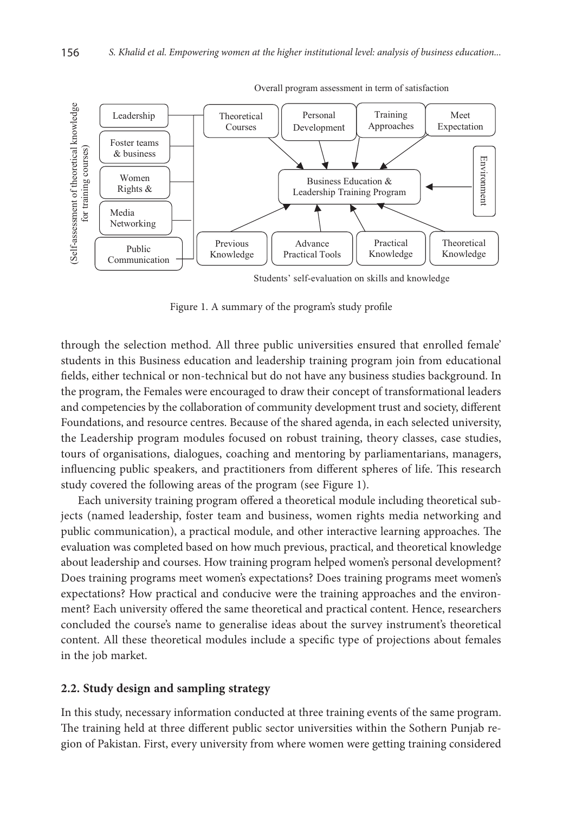

Overall program assessment in term of satisfaction

Students' self-evaluation on skills and knowledge

Figure 1. A summary of the program's study profile

through the selection method. All three public universities ensured that enrolled female' students in this Business education and leadership training program join from educational fields, either technical or non-technical but do not have any business studies background. In the program, the Females were encouraged to draw their concept of transformational leaders and competencies by the collaboration of community development trust and society, different Foundations, and resource centres. Because of the shared agenda, in each selected university, the Leadership program modules focused on robust training, theory classes, case studies, tours of organisations, dialogues, coaching and mentoring by parliamentarians, managers, influencing public speakers, and practitioners from different spheres of life. This research study covered the following areas of the program (see Figure 1).

Each university training program offered a theoretical module including theoretical subjects (named leadership, foster team and business, women rights media networking and public communication), a practical module, and other interactive learning approaches. The evaluation was completed based on how much previous, practical, and theoretical knowledge about leadership and courses. How training program helped women's personal development? Does training programs meet women's expectations? Does training programs meet women's expectations? How practical and conducive were the training approaches and the environment? Each university offered the same theoretical and practical content. Hence, researchers concluded the course's name to generalise ideas about the survey instrument's theoretical content. All these theoretical modules include a specific type of projections about females in the job market.

#### **2.2. Study design and sampling strategy**

In this study, necessary information conducted at three training events of the same program. The training held at three different public sector universities within the Sothern Punjab region of Pakistan. First, every university from where women were getting training considered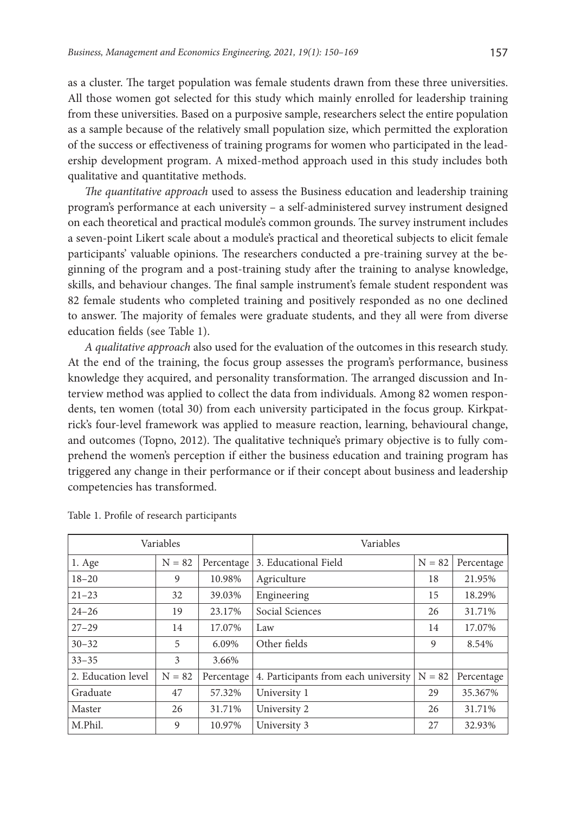as a cluster. The target population was female students drawn from these three universities. All those women got selected for this study which mainly enrolled for leadership training from these universities. Based on a purposive sample, researchers select the entire population as a sample because of the relatively small population size, which permitted the exploration of the success or effectiveness of training programs for women who participated in the leadership development program. A mixed-method approach used in this study includes both qualitative and quantitative methods.

*The quantitative approach* used to assess the Business education and leadership training program's performance at each university – a self-administered survey instrument designed on each theoretical and practical module's common grounds. The survey instrument includes a seven-point Likert scale about a module's practical and theoretical subjects to elicit female participants' valuable opinions. The researchers conducted a pre-training survey at the beginning of the program and a post-training study after the training to analyse knowledge, skills, and behaviour changes. The final sample instrument's female student respondent was 82 female students who completed training and positively responded as no one declined to answer. The majority of females were graduate students, and they all were from diverse education fields (see Table 1).

*A qualitative approach* also used for the evaluation of the outcomes in this research study. At the end of the training, the focus group assesses the program's performance, business knowledge they acquired, and personality transformation. The arranged discussion and Interview method was applied to collect the data from individuals. Among 82 women respondents, ten women (total 30) from each university participated in the focus group. Kirkpatrick's four-level framework was applied to measure reaction, learning, behavioural change, and outcomes (Topno, 2012). The qualitative technique's primary objective is to fully comprehend the women's perception if either the business education and training program has triggered any change in their performance or if their concept about business and leadership competencies has transformed.

| Variables          |          | Variables  |                                      |          |            |
|--------------------|----------|------------|--------------------------------------|----------|------------|
| $1. \text{Age}$    | $N = 82$ | Percentage | 3. Educational Field                 | $N = 82$ | Percentage |
| $18 - 20$          | 9        | 10.98%     | Agriculture                          | 18       | 21.95%     |
| $21 - 23$          | 32       | 39.03%     | Engineering                          | 15       | 18.29%     |
| $24 - 26$          | 19       | 23.17%     | Social Sciences                      | 26       | 31.71%     |
| $27 - 29$          | 14       | 17.07%     | Law                                  | 14       | 17.07%     |
| $30 - 32$          | 5        | 6.09%      | Other fields                         | 9        | 8.54%      |
| $33 - 35$          | 3        | 3.66%      |                                      |          |            |
| 2. Education level | $N = 82$ | Percentage | 4. Participants from each university | $N = 82$ | Percentage |
| Graduate           | 47       | 57.32%     | University 1                         | 29       | 35.367%    |
| Master             | 26       | 31.71%     | University 2                         | 26       | 31.71%     |
| M.Phil.            | 9        | 10.97%     | University 3                         | 27       | 32.93%     |

|  |  |  | Table 1. Profile of research participants |
|--|--|--|-------------------------------------------|
|--|--|--|-------------------------------------------|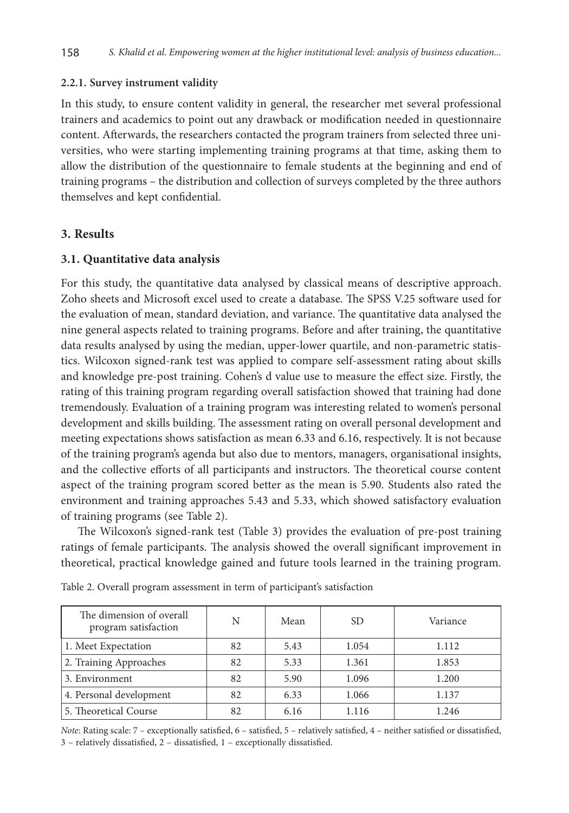#### **2.2.1. Survey instrument validity**

In this study, to ensure content validity in general, the researcher met several professional trainers and academics to point out any drawback or modification needed in questionnaire content. Afterwards, the researchers contacted the program trainers from selected three universities, who were starting implementing training programs at that time, asking them to allow the distribution of the questionnaire to female students at the beginning and end of training programs – the distribution and collection of surveys completed by the three authors themselves and kept confidential.

## **3. Results**

#### **3.1. Quantitative data analysis**

For this study, the quantitative data analysed by classical means of descriptive approach. Zoho sheets and Microsoft excel used to create a database. The SPSS V.25 software used for the evaluation of mean, standard deviation, and variance. The quantitative data analysed the nine general aspects related to training programs. Before and after training, the quantitative data results analysed by using the median, upper-lower quartile, and non-parametric statistics. Wilcoxon signed-rank test was applied to compare self-assessment rating about skills and knowledge pre-post training. Cohen's d value use to measure the effect size. Firstly, the rating of this training program regarding overall satisfaction showed that training had done tremendously. Evaluation of a training program was interesting related to women's personal development and skills building. The assessment rating on overall personal development and meeting expectations shows satisfaction as mean 6.33 and 6.16, respectively. It is not because of the training program's agenda but also due to mentors, managers, organisational insights, and the collective efforts of all participants and instructors. The theoretical course content aspect of the training program scored better as the mean is 5.90. Students also rated the environment and training approaches 5.43 and 5.33, which showed satisfactory evaluation of training programs (see Table 2).

The Wilcoxon's signed-rank test (Table 3) provides the evaluation of pre-post training ratings of female participants. The analysis showed the overall significant improvement in theoretical, practical knowledge gained and future tools learned in the training program.

| The dimension of overall<br>program satisfaction | N  | Mean | <b>SD</b> | Variance |
|--------------------------------------------------|----|------|-----------|----------|
| 1. Meet Expectation                              | 82 | 5.43 | 1.054     | 1.112    |
| 2. Training Approaches                           | 82 | 5.33 | 1.361     | 1.853    |
| 3. Environment                                   | 82 | 5.90 | 1.096     | 1.200    |
| 4. Personal development                          | 82 | 6.33 | 1.066     | 1.137    |
| 5. Theoretical Course                            | 82 | 6.16 | 1.116     | 1.246    |

Table 2. Overall program assessment in term of participant's satisfaction

*Note*: Rating scale: 7 – exceptionally satisfied, 6 – satisfied, 5 – relatively satisfied, 4 – neither satisfied or dissatisfied, 3 – relatively dissatisfied, 2 – dissatisfied, 1 – exceptionally dissatisfied.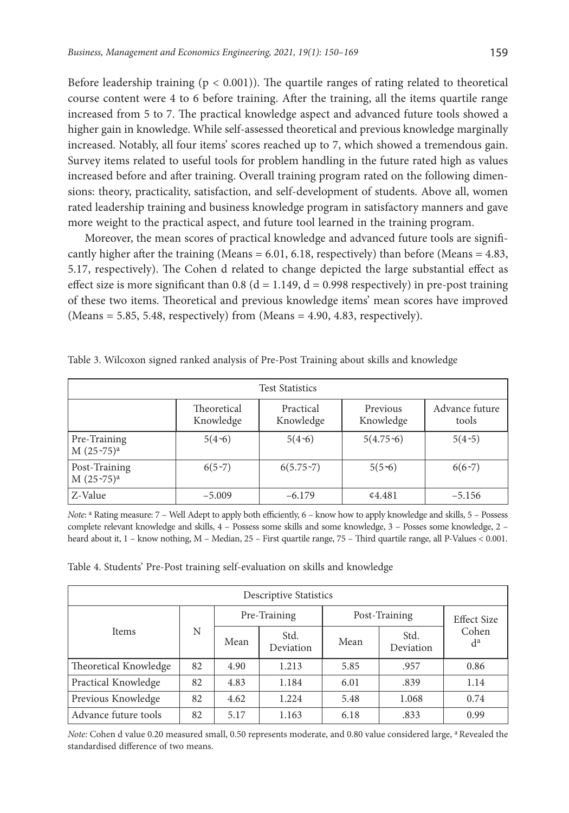Before leadership training  $(p < 0.001)$ ). The quartile ranges of rating related to theoretical course content were 4 to 6 before training. After the training, all the items quartile range increased from 5 to 7. The practical knowledge aspect and advanced future tools showed a higher gain in knowledge. While self-assessed theoretical and previous knowledge marginally increased. Notably, all four items' scores reached up to 7, which showed a tremendous gain. Survey items related to useful tools for problem handling in the future rated high as values increased before and after training. Overall training program rated on the following dimensions: theory, practicality, satisfaction, and self-development of students. Above all, women rated leadership training and business knowledge program in satisfactory manners and gave more weight to the practical aspect, and future tool learned in the training program.

Moreover, the mean scores of practical knowledge and advanced future tools are significantly higher after the training (Means  $= 6.01, 6.18$ , respectively) than before (Means  $= 4.83$ , 5.17, respectively). The Cohen d related to change depicted the large substantial effect as effect size is more significant than 0.8 ( $d = 1.149$ ,  $d = 0.998$  respectively) in pre-post training of these two items. Theoretical and previous knowledge items' mean scores have improved  $(Means = 5.85, 5.48, respectively)$  from  $(Means = 4.90, 4.83, respectively)$ .

| <b>Test Statistics</b>        |                          |                        |                       |                         |  |  |  |  |
|-------------------------------|--------------------------|------------------------|-----------------------|-------------------------|--|--|--|--|
|                               | Theoretical<br>Knowledge | Practical<br>Knowledge | Previous<br>Knowledge | Advance future<br>tools |  |  |  |  |
| Pre-Training<br>$M(25-75)^a$  | $5(4-6)$                 | $5(4-6)$               | $5(4.75-6)$           | $5(4-5)$                |  |  |  |  |
| Post-Training<br>$M(25-75)^a$ | $6(5-7)$                 | $6(5.75-7)$            | $5(5-6)$              | $6(6-7)$                |  |  |  |  |
| Z-Value                       | $-5.009$                 | $-6.179$               | 4.481                 | $-5.156$                |  |  |  |  |

Table 3. Wilcoxon signed ranked analysis of Pre-Post Training about skills and knowledge

*Note*: <sup>a</sup> Rating measure: 7 – Well Adept to apply both efficiently, 6 – know how to apply knowledge and skills, 5 – Possess complete relevant knowledge and skills, 4 – Possess some skills and some knowledge, 3 – Posses some knowledge, 2 – heard about it, 1 – know nothing, M – Median, 25 – First quartile range, 75 – Third quartile range, all P-Values < 0.001.

| Table 4. Students' Pre-Post training self-evaluation on skills and knowledge |  |  |  |  |  |
|------------------------------------------------------------------------------|--|--|--|--|--|
|------------------------------------------------------------------------------|--|--|--|--|--|

| <b>Descriptive Statistics</b> |    |              |                   |               |                   |                    |  |
|-------------------------------|----|--------------|-------------------|---------------|-------------------|--------------------|--|
|                               | N  | Pre-Training |                   | Post-Training |                   | <b>Effect Size</b> |  |
| <b>Items</b>                  |    | Mean         | Std.<br>Deviation | Mean          | Std.<br>Deviation | Cohen<br>$d^a$     |  |
| Theoretical Knowledge         | 82 | 4.90         | 1.213             | 5.85          | .957              | 0.86               |  |
| Practical Knowledge           | 82 | 4.83         | 1.184             | 6.01          | .839              | 1.14               |  |
| Previous Knowledge            | 82 | 4.62         | 1.224             | 5.48          | 1.068             | 0.74               |  |
| Advance future tools          | 82 | 5.17         | 1.163             | 6.18          | .833              | 0.99               |  |

*Note*: Cohen d value 0.20 measured small, 0.50 represents moderate, and 0.80 value considered large, <sup>a</sup> Revealed the standardised difference of two means.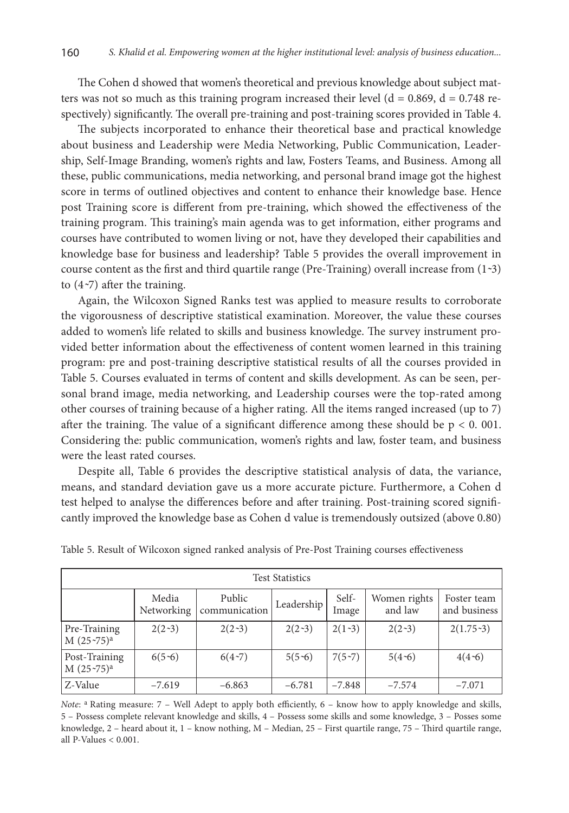The Cohen d showed that women's theoretical and previous knowledge about subject matters was not so much as this training program increased their level  $(d = 0.869, d = 0.748$  respectively) significantly. The overall pre-training and post-training scores provided in Table 4.

The subjects incorporated to enhance their theoretical base and practical knowledge about business and Leadership were Media Networking, Public Communication, Leadership, Self-Image Branding, women's rights and law, Fosters Teams, and Business. Among all these, public communications, media networking, and personal brand image got the highest score in terms of outlined objectives and content to enhance their knowledge base. Hence post Training score is different from pre-training, which showed the effectiveness of the training program. This training's main agenda was to get information, either programs and courses have contributed to women living or not, have they developed their capabilities and knowledge base for business and leadership? Table 5 provides the overall improvement in course content as the first and third quartile range (Pre-Training) overall increase from  $(1-3)$ to  $(4\nu$ <sup>7</sup>) after the training.

Again, the Wilcoxon Signed Ranks test was applied to measure results to corroborate the vigorousness of descriptive statistical examination. Moreover, the value these courses added to women's life related to skills and business knowledge. The survey instrument provided better information about the effectiveness of content women learned in this training program: pre and post-training descriptive statistical results of all the courses provided in Table 5. Courses evaluated in terms of content and skills development. As can be seen, personal brand image, media networking, and Leadership courses were the top-rated among other courses of training because of a higher rating. All the items ranged increased (up to 7) after the training. The value of a significant difference among these should be  $p < 0$ . 001. Considering the: public communication, women's rights and law, foster team, and business were the least rated courses.

Despite all, Table 6 provides the descriptive statistical analysis of data, the variance, means, and standard deviation gave us a more accurate picture. Furthermore, a Cohen d test helped to analyse the differences before and after training. Post-training scored significantly improved the knowledge base as Cohen d value is tremendously outsized (above 0.80)

| <b>Test Statistics</b>        |                     |                         |            |                |                         |                             |  |  |
|-------------------------------|---------------------|-------------------------|------------|----------------|-------------------------|-----------------------------|--|--|
|                               | Media<br>Networking | Public<br>communication | Leadership | Self-<br>Image | Women rights<br>and law | Foster team<br>and business |  |  |
| Pre-Training<br>$M(25-75)^a$  | $2(2-3)$            | $2(2-3)$                | $2(2-3)$   | $2(1-3)$       | $2(2-3)$                | $2(1.75-3)$                 |  |  |
| Post-Training<br>$M(25-75)^a$ | $6(5-6)$            | $6(4-7)$                | $5(5-6)$   | $7(5-7)$       | $5(4-6)$                | $4(4-6)$                    |  |  |
| Z-Value                       | $-7.619$            | $-6.863$                | $-6.781$   | $-7.848$       | $-7.574$                | $-7.071$                    |  |  |

Table 5. Result of Wilcoxon signed ranked analysis of Pre-Post Training courses effectiveness

*Note*: <sup>a</sup> Rating measure: 7 – Well Adept to apply both efficiently, 6 – know how to apply knowledge and skills, 5 – Possess complete relevant knowledge and skills, 4 – Possess some skills and some knowledge, 3 – Posses some knowledge, 2 – heard about it, 1 – know nothing, M – Median, 25 – First quartile range, 75 – Third quartile range, all P-Values < 0.001.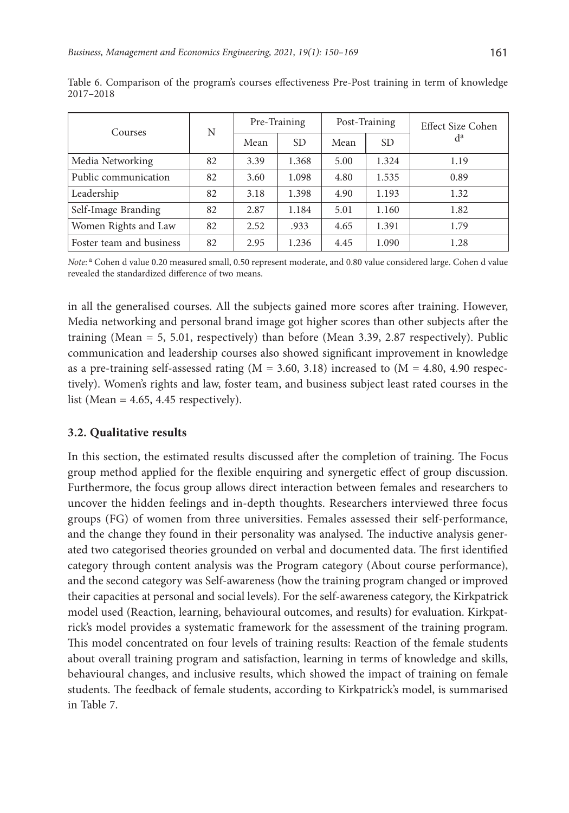| Courses                  | N  | Pre-Training |       | Post-Training |       | Effect Size Cohen |
|--------------------------|----|--------------|-------|---------------|-------|-------------------|
|                          |    | Mean         | SD.   | Mean          | SD.   | $d^a$             |
| Media Networking         | 82 | 3.39         | 1.368 | 5.00          | 1.324 | 1.19              |
| Public communication     | 82 | 3.60         | 1.098 | 4.80          | 1.535 | 0.89              |
| Leadership               | 82 | 3.18         | 1.398 | 4.90          | 1.193 | 1.32              |
| Self-Image Branding      | 82 | 2.87         | 1.184 | 5.01          | 1.160 | 1.82              |
| Women Rights and Law     | 82 | 2.52         | .933  | 4.65          | 1.391 | 1.79              |
| Foster team and business | 82 | 2.95         | 1.236 | 4.45          | 1.090 | 1.28              |

Table 6. Comparison of the program's courses effectiveness Pre-Post training in term of knowledge 2017–2018

Note:<sup>a</sup> Cohen d value 0.20 measured small, 0.50 represent moderate, and 0.80 value considered large. Cohen d value revealed the standardized difference of two means.

in all the generalised courses. All the subjects gained more scores after training. However, Media networking and personal brand image got higher scores than other subjects after the training (Mean  $= 5, 5.01$ , respectively) than before (Mean 3.39, 2.87 respectively). Public communication and leadership courses also showed significant improvement in knowledge as a pre-training self-assessed rating  $(M = 3.60, 3.18)$  increased to  $(M = 4.80, 4.90$  respectively). Women's rights and law, foster team, and business subject least rated courses in the list (Mean =  $4.65$ ,  $4.45$  respectively).

# **3.2. Qualitative results**

In this section, the estimated results discussed after the completion of training. The Focus group method applied for the flexible enquiring and synergetic effect of group discussion. Furthermore, the focus group allows direct interaction between females and researchers to uncover the hidden feelings and in-depth thoughts. Researchers interviewed three focus groups (FG) of women from three universities. Females assessed their self-performance, and the change they found in their personality was analysed. The inductive analysis generated two categorised theories grounded on verbal and documented data. The first identified category through content analysis was the Program category (About course performance), and the second category was Self-awareness (how the training program changed or improved their capacities at personal and social levels). For the self-awareness category, the Kirkpatrick model used (Reaction, learning, behavioural outcomes, and results) for evaluation. Kirkpatrick's model provides a systematic framework for the assessment of the training program. This model concentrated on four levels of training results: Reaction of the female students about overall training program and satisfaction, learning in terms of knowledge and skills, behavioural changes, and inclusive results, which showed the impact of training on female students. The feedback of female students, according to Kirkpatrick's model, is summarised in Table 7.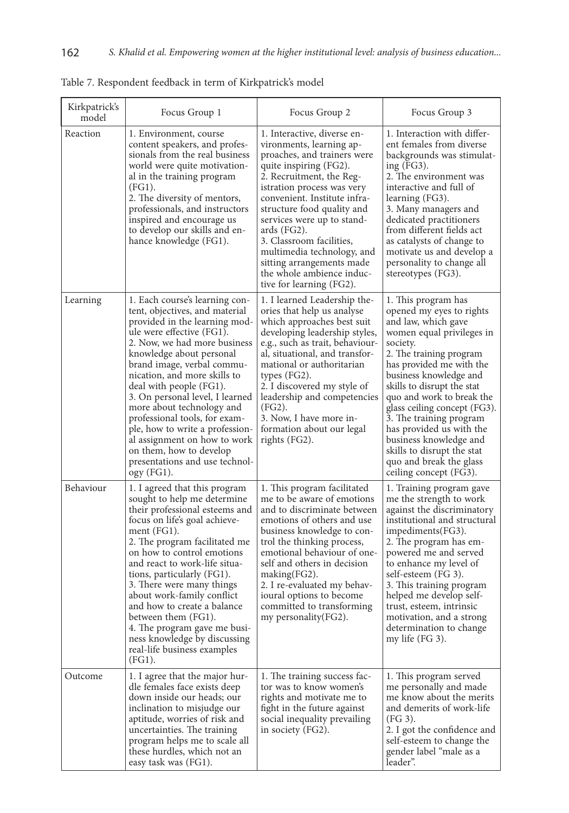| Kirkpatrick's<br>model | Focus Group 1                                                                                                                                                                                                                                                                                                                                                                                                                                                                                                                        | Focus Group 2                                                                                                                                                                                                                                                                                                                                                                                                                         | Focus Group 3                                                                                                                                                                                                                                                                                                                                                                                                                                                   |
|------------------------|--------------------------------------------------------------------------------------------------------------------------------------------------------------------------------------------------------------------------------------------------------------------------------------------------------------------------------------------------------------------------------------------------------------------------------------------------------------------------------------------------------------------------------------|---------------------------------------------------------------------------------------------------------------------------------------------------------------------------------------------------------------------------------------------------------------------------------------------------------------------------------------------------------------------------------------------------------------------------------------|-----------------------------------------------------------------------------------------------------------------------------------------------------------------------------------------------------------------------------------------------------------------------------------------------------------------------------------------------------------------------------------------------------------------------------------------------------------------|
| Reaction               | 1. Environment, course<br>content speakers, and profes-<br>sionals from the real business<br>world were quite motivation-<br>al in the training program<br>$(FG1)$ .<br>2. The diversity of mentors,<br>professionals, and instructors<br>inspired and encourage us<br>to develop our skills and en-<br>hance knowledge (FG1).                                                                                                                                                                                                       | 1. Interactive, diverse en-<br>vironments, learning ap-<br>proaches, and trainers were<br>quite inspiring (FG2).<br>2. Recruitment, the Reg-<br>istration process was very<br>convenient. Institute infra-<br>structure food quality and<br>services were up to stand-<br>ards (FG2).<br>3. Classroom facilities,<br>multimedia technology, and<br>sitting arrangements made<br>the whole ambience induc-<br>tive for learning (FG2). | 1. Interaction with differ-<br>ent females from diverse<br>backgrounds was stimulat-<br>ing $(FG3)$ .<br>2. The environment was<br>interactive and full of<br>learning (FG3).<br>3. Many managers and<br>dedicated practitioners<br>from different fields act<br>as catalysts of change to<br>motivate us and develop a<br>personality to change all<br>stereotypes (FG3).                                                                                      |
| Learning               | 1. Each course's learning con-<br>tent, objectives, and material<br>provided in the learning mod-<br>ule were effective (FG1).<br>2. Now, we had more business<br>knowledge about personal<br>brand image, verbal commu-<br>nication, and more skills to<br>deal with people (FG1).<br>3. On personal level, I learned<br>more about technology and<br>professional tools, for exam-<br>ple, how to write a profession-<br>al assignment on how to work<br>on them, how to develop<br>presentations and use technol-<br>$ogy$ (FG1). | 1. I learned Leadership the-<br>ories that help us analyse<br>which approaches best suit<br>developing leadership styles,<br>e.g., such as trait, behaviour-<br>al, situational, and transfor-<br>mational or authoritarian<br>types $(FG2)$ .<br>2. I discovered my style of<br>leadership and competencies<br>(FG2).<br>3. Now, I have more in-<br>formation about our legal<br>rights (FG2).                                       | 1. This program has<br>opened my eyes to rights<br>and law, which gave<br>women equal privileges in<br>society.<br>2. The training program<br>has provided me with the<br>business knowledge and<br>skills to disrupt the stat<br>quo and work to break the<br>glass ceiling concept (FG3).<br>3. The training program<br>has provided us with the<br>business knowledge and<br>skills to disrupt the stat<br>quo and break the glass<br>ceiling concept (FG3). |
| Behaviour              | 1. I agreed that this program<br>sought to help me determine<br>their professional esteems and<br>focus on life's goal achieve-<br>ment (FG1).<br>2. The program facilitated me<br>on how to control emotions<br>and react to work-life situa-<br>tions, particularly (FG1).<br>3. There were many things<br>about work-family conflict<br>and how to create a balance<br>between them (FG1).<br>4. The program gave me busi-<br>ness knowledge by discussing<br>real-life business examples<br>(FG1).                               | 1. This program facilitated<br>me to be aware of emotions<br>and to discriminate between<br>emotions of others and use<br>business knowledge to con-<br>trol the thinking process,<br>emotional behaviour of one-<br>self and others in decision<br>making(FG2).<br>2. I re-evaluated my behav-<br>ioural options to become<br>committed to transforming<br>my personality (FG2).                                                     | 1. Training program gave<br>me the strength to work<br>against the discriminatory<br>institutional and structural<br>impediments(FG3).<br>2. The program has em-<br>powered me and served<br>to enhance my level of<br>self-esteem (FG 3).<br>3. This training program<br>helped me develop self-<br>trust, esteem, intrinsic<br>motivation, and a strong<br>determination to change<br>my life (FG 3).                                                         |
| Outcome                | 1. I agree that the major hur-<br>dle females face exists deep<br>down inside our heads; our<br>inclination to misjudge our<br>aptitude, worries of risk and<br>uncertainties. The training<br>program helps me to scale all<br>these hurdles, which not an<br>easy task was (FG1).                                                                                                                                                                                                                                                  | 1. The training success fac-<br>tor was to know women's<br>rights and motivate me to<br>fight in the future against<br>social inequality prevailing<br>in society (FG2).                                                                                                                                                                                                                                                              | 1. This program served<br>me personally and made<br>me know about the merits<br>and demerits of work-life<br>(FG 3).<br>2. I got the confidence and<br>self-esteem to change the<br>gender label "male as a<br>leader".                                                                                                                                                                                                                                         |

Table 7. Respondent feedback in term of Kirkpatrick's model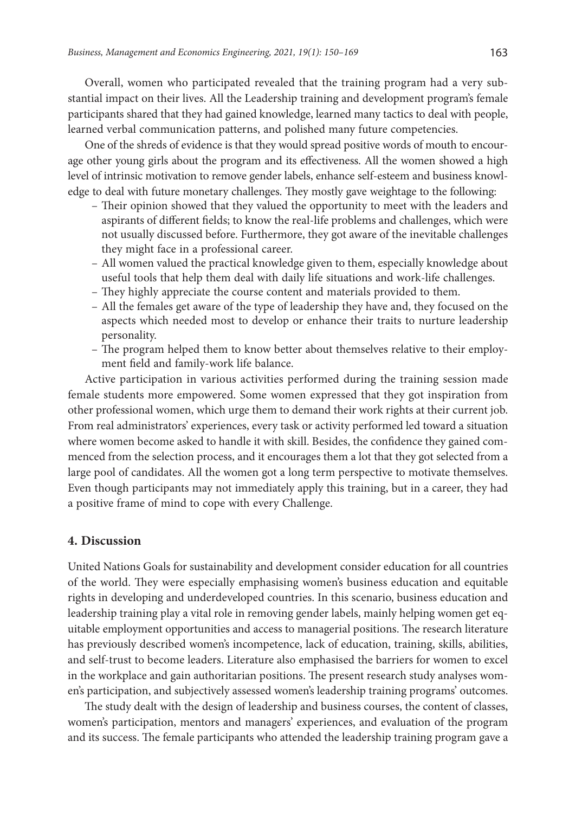Overall, women who participated revealed that the training program had a very substantial impact on their lives. All the Leadership training and development program's female participants shared that they had gained knowledge, learned many tactics to deal with people, learned verbal communication patterns, and polished many future competencies.

One of the shreds of evidence is that they would spread positive words of mouth to encourage other young girls about the program and its effectiveness. All the women showed a high level of intrinsic motivation to remove gender labels, enhance self-esteem and business knowledge to deal with future monetary challenges. They mostly gave weightage to the following:

- Their opinion showed that they valued the opportunity to meet with the leaders and aspirants of different fields; to know the real-life problems and challenges, which were not usually discussed before. Furthermore, they got aware of the inevitable challenges they might face in a professional career.
- All women valued the practical knowledge given to them, especially knowledge about useful tools that help them deal with daily life situations and work-life challenges.
- They highly appreciate the course content and materials provided to them.
- All the females get aware of the type of leadership they have and, they focused on the aspects which needed most to develop or enhance their traits to nurture leadership personality.
- The program helped them to know better about themselves relative to their employment field and family-work life balance.

Active participation in various activities performed during the training session made female students more empowered. Some women expressed that they got inspiration from other professional women, which urge them to demand their work rights at their current job. From real administrators' experiences, every task or activity performed led toward a situation where women become asked to handle it with skill. Besides, the confidence they gained commenced from the selection process, and it encourages them a lot that they got selected from a large pool of candidates. All the women got a long term perspective to motivate themselves. Even though participants may not immediately apply this training, but in a career, they had a positive frame of mind to cope with every Challenge.

# **4. Discussion**

United Nations Goals for sustainability and development consider education for all countries of the world. They were especially emphasising women's business education and equitable rights in developing and underdeveloped countries. In this scenario, business education and leadership training play a vital role in removing gender labels, mainly helping women get equitable employment opportunities and access to managerial positions. The research literature has previously described women's incompetence, lack of education, training, skills, abilities, and self-trust to become leaders. Literature also emphasised the barriers for women to excel in the workplace and gain authoritarian positions. The present research study analyses women's participation, and subjectively assessed women's leadership training programs' outcomes.

The study dealt with the design of leadership and business courses, the content of classes, women's participation, mentors and managers' experiences, and evaluation of the program and its success. The female participants who attended the leadership training program gave a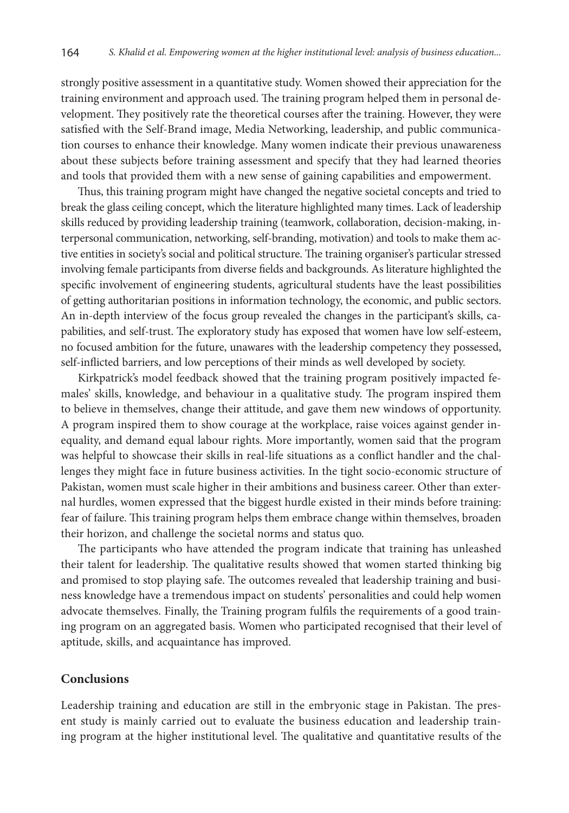strongly positive assessment in a quantitative study. Women showed their appreciation for the training environment and approach used. The training program helped them in personal development. They positively rate the theoretical courses after the training. However, they were satisfied with the Self-Brand image, Media Networking, leadership, and public communication courses to enhance their knowledge. Many women indicate their previous unawareness about these subjects before training assessment and specify that they had learned theories and tools that provided them with a new sense of gaining capabilities and empowerment.

Thus, this training program might have changed the negative societal concepts and tried to break the glass ceiling concept, which the literature highlighted many times. Lack of leadership skills reduced by providing leadership training (teamwork, collaboration, decision-making, interpersonal communication, networking, self-branding, motivation) and tools to make them active entities in society's social and political structure. The training organiser's particular stressed involving female participants from diverse fields and backgrounds. As literature highlighted the specific involvement of engineering students, agricultural students have the least possibilities of getting authoritarian positions in information technology, the economic, and public sectors. An in-depth interview of the focus group revealed the changes in the participant's skills, capabilities, and self-trust. The exploratory study has exposed that women have low self-esteem, no focused ambition for the future, unawares with the leadership competency they possessed, self-inflicted barriers, and low perceptions of their minds as well developed by society.

Kirkpatrick's model feedback showed that the training program positively impacted females' skills, knowledge, and behaviour in a qualitative study. The program inspired them to believe in themselves, change their attitude, and gave them new windows of opportunity. A program inspired them to show courage at the workplace, raise voices against gender inequality, and demand equal labour rights. More importantly, women said that the program was helpful to showcase their skills in real-life situations as a conflict handler and the challenges they might face in future business activities. In the tight socio-economic structure of Pakistan, women must scale higher in their ambitions and business career. Other than external hurdles, women expressed that the biggest hurdle existed in their minds before training: fear of failure. This training program helps them embrace change within themselves, broaden their horizon, and challenge the societal norms and status quo.

The participants who have attended the program indicate that training has unleashed their talent for leadership. The qualitative results showed that women started thinking big and promised to stop playing safe. The outcomes revealed that leadership training and business knowledge have a tremendous impact on students' personalities and could help women advocate themselves. Finally, the Training program fulfils the requirements of a good training program on an aggregated basis. Women who participated recognised that their level of aptitude, skills, and acquaintance has improved.

# **Conclusions**

Leadership training and education are still in the embryonic stage in Pakistan. The present study is mainly carried out to evaluate the business education and leadership training program at the higher institutional level. The qualitative and quantitative results of the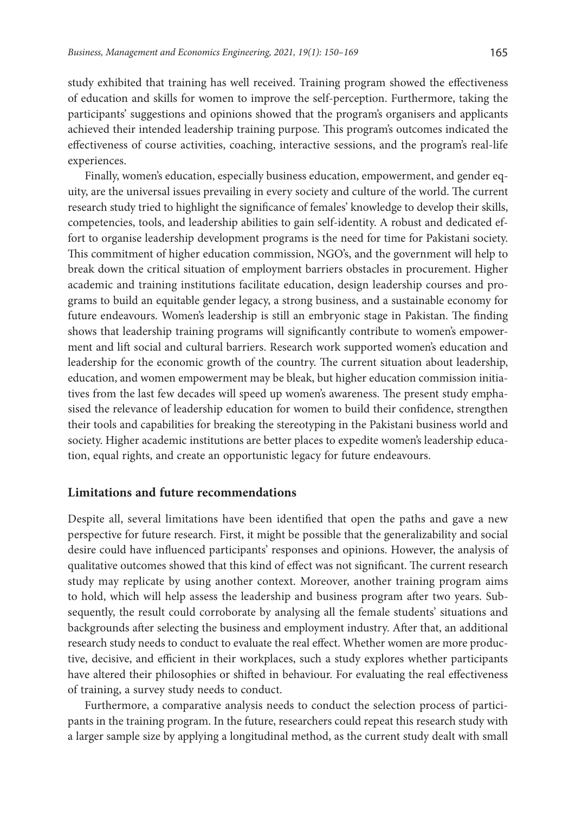study exhibited that training has well received. Training program showed the effectiveness of education and skills for women to improve the self-perception. Furthermore, taking the participants' suggestions and opinions showed that the program's organisers and applicants achieved their intended leadership training purpose. This program's outcomes indicated the effectiveness of course activities, coaching, interactive sessions, and the program's real-life experiences.

Finally, women's education, especially business education, empowerment, and gender equity, are the universal issues prevailing in every society and culture of the world. The current research study tried to highlight the significance of females' knowledge to develop their skills, competencies, tools, and leadership abilities to gain self-identity. A robust and dedicated effort to organise leadership development programs is the need for time for Pakistani society. This commitment of higher education commission, NGO's, and the government will help to break down the critical situation of employment barriers obstacles in procurement. Higher academic and training institutions facilitate education, design leadership courses and programs to build an equitable gender legacy, a strong business, and a sustainable economy for future endeavours. Women's leadership is still an embryonic stage in Pakistan. The finding shows that leadership training programs will significantly contribute to women's empowerment and lift social and cultural barriers. Research work supported women's education and leadership for the economic growth of the country. The current situation about leadership, education, and women empowerment may be bleak, but higher education commission initiatives from the last few decades will speed up women's awareness. The present study emphasised the relevance of leadership education for women to build their confidence, strengthen their tools and capabilities for breaking the stereotyping in the Pakistani business world and society. Higher academic institutions are better places to expedite women's leadership education, equal rights, and create an opportunistic legacy for future endeavours.

#### **Limitations and future recommendations**

Despite all, several limitations have been identified that open the paths and gave a new perspective for future research. First, it might be possible that the generalizability and social desire could have influenced participants' responses and opinions. However, the analysis of qualitative outcomes showed that this kind of effect was not significant. The current research study may replicate by using another context. Moreover, another training program aims to hold, which will help assess the leadership and business program after two years. Subsequently, the result could corroborate by analysing all the female students' situations and backgrounds after selecting the business and employment industry. After that, an additional research study needs to conduct to evaluate the real effect. Whether women are more productive, decisive, and efficient in their workplaces, such a study explores whether participants have altered their philosophies or shifted in behaviour. For evaluating the real effectiveness of training, a survey study needs to conduct.

Furthermore, a comparative analysis needs to conduct the selection process of participants in the training program. In the future, researchers could repeat this research study with a larger sample size by applying a longitudinal method, as the current study dealt with small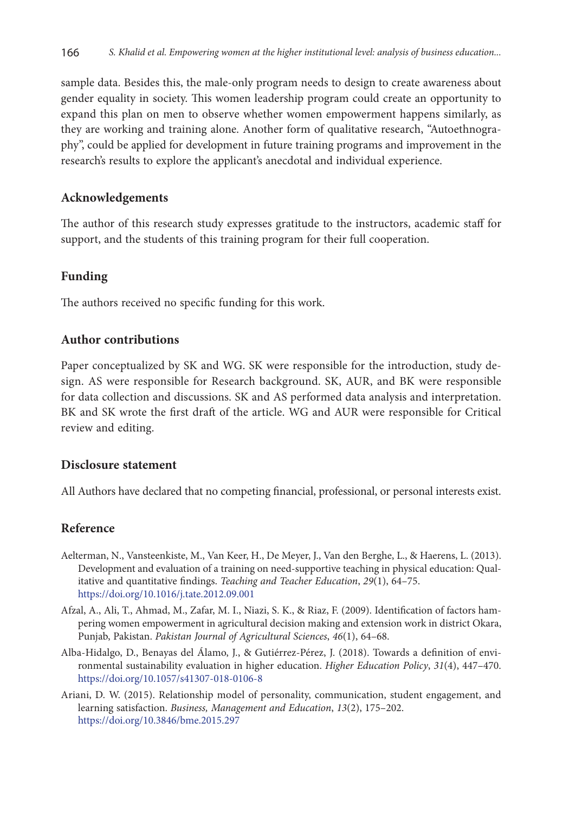sample data. Besides this, the male-only program needs to design to create awareness about gender equality in society. This women leadership program could create an opportunity to expand this plan on men to observe whether women empowerment happens similarly, as they are working and training alone. Another form of qualitative research, "Autoethnography", could be applied for development in future training programs and improvement in the research's results to explore the applicant's anecdotal and individual experience.

### **Acknowledgements**

The author of this research study expresses gratitude to the instructors, academic staff for support, and the students of this training program for their full cooperation.

# **Funding**

The authors received no specific funding for this work.

# **Author contributions**

Paper conceptualized by SK and WG. SK were responsible for the introduction, study design. AS were responsible for Research background. SK, AUR, and BK were responsible for data collection and discussions. SK and AS performed data analysis and interpretation. BK and SK wrote the first draft of the article. WG and AUR were responsible for Critical review and editing.

# **Disclosure statement**

All Authors have declared that no competing financial, professional, or personal interests exist.

# **Reference**

- Aelterman, N., Vansteenkiste, M., Van Keer, H., De Meyer, J., Van den Berghe, L., & Haerens, L. (2013). Development and evaluation of a training on need-supportive teaching in physical education: Qualitative and quantitative findings. *Teaching and Teacher Education*, *29*(1), 64–75. [https://doi.org/10.1016/j.tate.2012.09.001](https://doi.org/10.1016/j.tate.2012.09.001 )
- Afzal, A., Ali, T., Ahmad, M., Zafar, M. I., Niazi, S. K., & Riaz, F. (2009). Identification of factors hampering women empowerment in agricultural decision making and extension work in district Okara, Punjab, Pakistan. *Pakistan Journal of Agricultural Sciences*, *46*(1), 64–68.
- Alba-Hidalgo, D., Benayas del Álamo, J., & Gutiérrez-Pérez, J. (2018). Towards a definition of environmental sustainability evaluation in higher education. *Higher Education Policy*, *31*(4), 447–470. [https://doi.org/10.1057/s41307-018-0106-8](https://doi.org/10.1057/s41307-018-0106-8 )
- Ariani, D. W. (2015). Relationship model of personality, communication, student engagement, and learning satisfaction. *Business, Management and Education*, *13*(2), 175–202. [https://doi.org/10.3846/bme.2015.297](https://doi.org/10.3846/bme.2015.297 )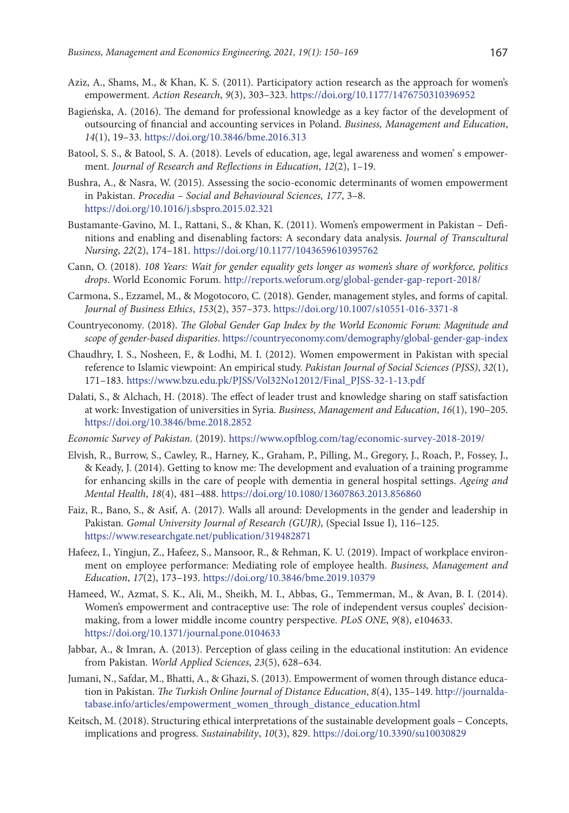- Aziz, A., Shams, M., & Khan, K. S. (2011). Participatory action research as the approach for women's empowerment. *Action Research*, *9*(3), 303–323. <https://doi.org/10.1177/1476750310396952>
- Bagieńska, A. (2016). The demand for professional knowledge as a key factor of the development of outsourcing of financial and accounting services in Poland. *Business, Management and Education*, *14*(1), 19–33. <https://doi.org/10.3846/bme.2016.313>
- Batool, S. S., & Batool, S. A. (2018). Levels of education, age, legal awareness and women' s empowerment. *Journal of Research and Reflections in Education*, *12*(2), 1–19.
- Bushra, A., & Nasra, W. (2015). Assessing the socio-economic determinants of women empowerment in Pakistan. *Procedia – Social and Behavioural Sciences, 177*, 3–8. [https://doi.org/10.1016/j.sbspro.2015.02.321](https://doi.org/10.1016/j.sbspro.2015.02.321 )
- Bustamante-Gavino, M. I., Rattani, S., & Khan, K. (2011). Women's empowerment in Pakistan Definitions and enabling and disenabling factors: A secondary data analysis. *Journal of Transcultural Nursing*, *22*(2), 174–181. <https://doi.org/10.1177/1043659610395762>
- Cann, O. (2018). *108 Years: Wait for gender equality gets longer as women's share of workforce, politics drops*. World Economic Forum. <http://reports.weforum.org/global-gender-gap-report-2018/>
- Carmona, S., Ezzamel, M., & Mogotocoro, C. (2018). Gender, management styles, and forms of capital. *Journal of Business Ethics*, *153*(2), 357–373. <https://doi.org/10.1007/s10551-016-3371-8>
- Countryeconomy*.* (2018). *The Global Gender Gap Index by the World Economic Forum: Magnitude and scope of gender-based disparities*. [https://countryeconomy.com/demography/global-gender-gap-index](https://countryeconomy.com/demography/global-gender-gap-index )
- Chaudhry, I. S., Nosheen, F., & Lodhi, M. I. (2012). Women empowerment in Pakistan with special reference to Islamic viewpoint: An empirical study. *Pakistan Journal of Social Sciences (PJSS)*, *32*(1), 171–183. [https://www.bzu.edu.pk/PJSS/Vol32No12012/Final\\_PJSS-32-1-13.pdf](https://www.bzu.edu.pk/PJSS/Vol32No12012/Final_PJSS-32-1-13.pdf )
- Dalati, S., & Alchach, H. (2018). The effect of leader trust and knowledge sharing on staff satisfaction at work: Investigation of universities in Syria. *Business, Management and Education*, *16*(1), 190–205. [https://doi.org/10.3846/bme.2018.2852](https://doi.org/10.3846/bme.2018.2852 )
- *Economic Survey of Pakistan*. (2019). <https://www.opfblog.com/tag/economic-survey-2018-2019/>
- Elvish, R., Burrow, S., Cawley, R., Harney, K., Graham, P., Pilling, M., Gregory, J., Roach, P., Fossey, J., & Keady, J. (2014). Getting to know me: The development and evaluation of a training programme for enhancing skills in the care of people with dementia in general hospital settings. *Ageing and Mental Health*, *18*(4), 481–488. <https://doi.org/10.1080/13607863.2013.856860>
- Faiz, R., Bano, S., & Asif, A. (2017). Walls all around: Developments in the gender and leadership in Pakistan. *Gomal University Journal of Research (GUJR)*, (Special Issue I), 116–125. [https://www.researchgate.net/publication/319482871](https://www.researchgate.net/publication/319482871 )
- Hafeez, I., Yingjun, Z., Hafeez, S., Mansoor, R., & Rehman, K. U. (2019). Impact of workplace environment on employee performance: Mediating role of employee health. *Business, Management and Education*, *17*(2), 173–193. [https://doi.org/10.3846/bme.2019.10379](https://doi.org/10.3846/bme.2019.10379 )
- Hameed, W., Azmat, S. K., Ali, M., Sheikh, M. I., Abbas, G., Temmerman, M., & Avan, B. I. (2014). Women's empowerment and contraceptive use: The role of independent versus couples' decisionmaking, from a lower middle income country perspective. *PLoS ONE*, *9*(8), e104633. <https://doi.org/10.1371/journal.pone.0104633>
- Jabbar, A., & Imran, A. (2013). Perception of glass ceiling in the educational institution: An evidence from Pakistan. *World Applied Sciences*, *23*(5), 628–634.
- Jumani, N., Safdar, M., Bhatti, A., & Ghazi, S. (2013). Empowerment of women through distance education in Pakistan. *The Turkish Online Journal of Distance Education*, *8*(4), 135–149. [http://journalda](http://journaldatabase.info/articles/empowerment_women_through_distance_education.html)[tabase.info/articles/empowerment\\_women\\_through\\_distance\\_education.html](http://journaldatabase.info/articles/empowerment_women_through_distance_education.html)
- Keitsch, M. (2018). Structuring ethical interpretations of the sustainable development goals Concepts, implications and progress. *Sustainability*, *10*(3), 829. h<ttps://doi.org/10.3390/su10030829>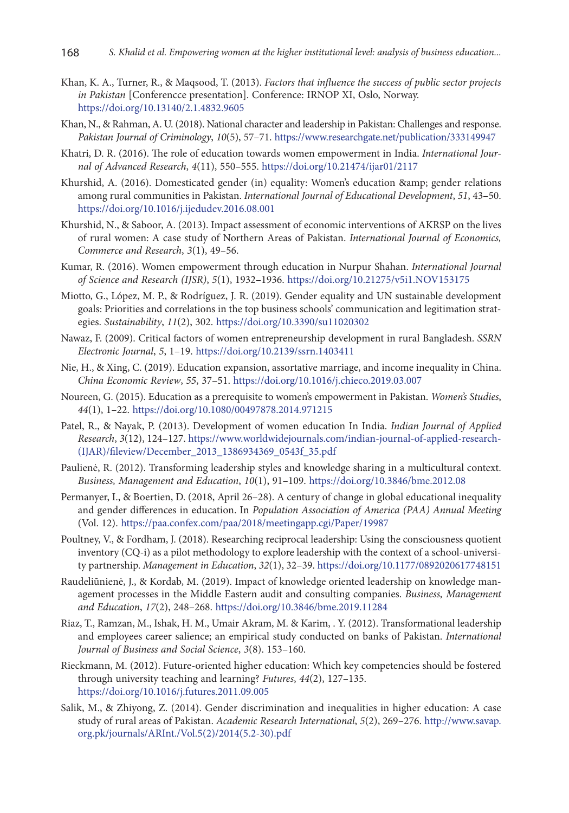- Khan, K. A., Turner, R., & Maqsood, T. (2013). *Factors that influence the success of public sector projects in Pakistan* [Conferencce presentation]. Conference: IRNOP XI, Oslo, Norway. [https://doi.org/10.13140/2.1.4832.9605](https://doi.org/10.13140/2.1.4832.9605 )
- Khan, N., & Rahman, A. U. (2018). National character and leadership in Pakistan: Challenges and response. *Pakistan Journal of Criminology*, *10*(5), 57–71. <https://www.researchgate.net/publication/333149947>
- Khatri, D. R. (2016). The role of education towards women empowerment in India. *International Journal of Advanced Research*, *4*(11), 550–555. <https://doi.org/10.21474/ijar01/2117>
- Khurshid, A. (2016). Domesticated gender (in) equality: Women's education & amp; gender relations among rural communities in Pakistan. *International Journal of Educational Development*, *51*, 43–50. [https://doi.org/10.1016/j.ijedudev.2016.08.001](https://doi.org/10.1016/j.ijedudev.2016.08.001 )
- Khurshid, N., & Saboor, A. (2013). Impact assessment of economic interventions of AKRSP on the lives of rural women: A case study of Northern Areas of Pakistan. *International Journal of Economics, Commerce and Research*, *3*(1), 49–56.
- Kumar, R. (2016). Women empowerment through education in Nurpur Shahan. *International Journal of Science and Research (IJSR)*, *5*(1), 1932–1936. <https://doi.org/10.21275/v5i1.NOV153175>
- Miotto, G., López, M. P., & Rodríguez, J. R. (2019). Gender equality and UN sustainable development goals: Priorities and correlations in the top business schools' communication and legitimation strategies. *Sustainability*, *11*(2), 302. <https://doi.org/10.3390/su11020302>
- Nawaz, F. (2009). Critical factors of women entrepreneurship development in rural Bangladesh. *SSRN Electronic Journal*, *5*, 1–19. <https://doi.org/10.2139/ssrn.1403411>
- Nie, H., & Xing, C. (2019). Education expansion, assortative marriage, and income inequality in China. *China Economic Review*, *55*, 37–51. <https://doi.org/10.1016/j.chieco.2019.03.007>
- Noureen, G. (2015). Education as a prerequisite to women's empowerment in Pakistan. *Women's Studies*, *44*(1), 1–22. <https://doi.org/10.1080/00497878.2014.971215>
- Patel, R., & Nayak, P. (2013). Development of women education In India. *Indian Journal of Applied Research*, *3*(12), 124–127. [https://www.worldwidejournals.com/indian-journal-of-applied-research-](https://www.worldwidejournals.com/indian-journal-of-applied-research-(IJAR)/fileview/December_2013_1386934369_0543f_35.pdf) [\(IJAR\)/fileview/December\\_2013\\_1386934369\\_0543f\\_35.pdf](https://www.worldwidejournals.com/indian-journal-of-applied-research-(IJAR)/fileview/December_2013_1386934369_0543f_35.pdf)
- Paulienė, R. (2012). Transforming leadership styles and knowledge sharing in a multicultural context. *Business, Management and Education*, *10*(1), 91–109. <https://doi.org/10.3846/bme.2012.08>
- Permanyer, I., & Boertien, D. (2018, April 26–28). A century of change in global educational inequality and gender differences in education. In *Population Association of America (PAA) Annual Meeting* (Vol. 12). <https://paa.confex.com/paa/2018/meetingapp.cgi/Paper/19987>
- Poultney, V., & Fordham, J. (2018). Researching reciprocal leadership: Using the consciousness quotient inventory (CQ-i) as a pilot methodology to explore leadership with the context of a school-university partnership. *Management in Education*, *32*(1), 32–39. [https://doi.org/10.1177/0892020617748151]( https://doi.org/10.1177/0892020617748151 )
- Raudeliūnienė, J., & Kordab, M. (2019). Impact of knowledge oriented leadership on knowledge management processes in the Middle Eastern audit and consulting companies. *Business, Management and Education*, *17*(2), 248–268. <https://doi.org/10.3846/bme.2019.11284>
- Riaz, T., Ramzan, M., Ishak, H. M., Umair Akram, M. & Karim, . Y. (2012). Transformational leadership and employees career salience; an empirical study conducted on banks of Pakistan. *International Journal of Business and Social Science*, *3*(8). 153–160.
- Rieckmann, M. (2012). Future-oriented higher education: Which key competencies should be fostered through university teaching and learning? *Futures*, *44*(2), 127–135. <https://doi.org/10.1016/j.futures.2011.09.005>
- Salik, M., & Zhiyong, Z. (2014). Gender discrimination and inequalities in higher education: A case study of rural areas of Pakistan. *Academic Research International*, *5*(2), 269–276. [http://www.savap.](http://www.savap.org.pk/journals/ARInt./Vol.5(2)/2014(5.2-30).pdf) [org.pk/journals/ARInt./Vol.5\(2\)/2014\(5.2-30\).pdf](http://www.savap.org.pk/journals/ARInt./Vol.5(2)/2014(5.2-30).pdf)